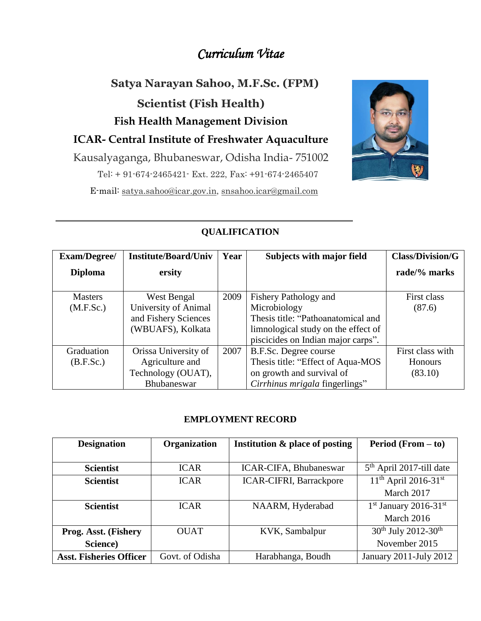# *Curriculum Vitae*

**Satya Narayan Sahoo, M.F.Sc. (FPM) Scientist (Fish Health) Fish Health Management Division ICAR- Central Institute of Freshwater Aquaculture** Kausalyaganga, Bhubaneswar, Odisha India- 751002 Tel: + 91-674-2465421- Ext. 222, Fax: +91-674-2465407 E-mail: satya.saho[o@icar.gov.in,](mailto:@icar.gov.in) snsahoo.icar@gmail.com



# **QUALIFICATION**

| Exam/Degree/                | <b>Institute/Board/Univ</b>                                                      | Year | <b>Subjects with major field</b>                                                                                                                         | <b>Class/Division/G</b>                       |
|-----------------------------|----------------------------------------------------------------------------------|------|----------------------------------------------------------------------------------------------------------------------------------------------------------|-----------------------------------------------|
| <b>Diploma</b>              | ersity                                                                           |      |                                                                                                                                                          | rade/% marks                                  |
| <b>Masters</b><br>(M.F.Sc.) | West Bengal<br>University of Animal<br>and Fishery Sciences<br>(WBUAFS), Kolkata | 2009 | Fishery Pathology and<br>Microbiology<br>Thesis title: "Pathoanatomical and<br>limnological study on the effect of<br>piscicides on Indian major carps". | First class<br>(87.6)                         |
| Graduation<br>(B.F.Sc.)     | Orissa University of<br>Agriculture and<br>Technology (OUAT),<br>Bhubaneswar     | 2007 | B.F.Sc. Degree course<br>Thesis title: "Effect of Aqua-MOS"<br>on growth and survival of<br>Cirrhinus mrigala fingerlings"                               | First class with<br><b>Honours</b><br>(83.10) |

## **EMPLOYMENT RECORD**

| <b>Designation</b>             | Organization    | Institution & place of posting | <b>Period</b> (From $-$ to)          |
|--------------------------------|-----------------|--------------------------------|--------------------------------------|
|                                |                 |                                |                                      |
| <b>Scientist</b>               | <b>ICAR</b>     | ICAR-CIFA, Bhubaneswar         | $5th$ April 2017-till date           |
| <b>Scientist</b>               | <b>ICAR</b>     | <b>ICAR-CIFRI, Barrackpore</b> | $11^{th}$ April 2016-31st            |
|                                |                 |                                | March 2017                           |
| <b>Scientist</b>               | <b>ICAR</b>     | NAARM, Hyderabad               | $1st$ January 2016-31 <sup>st</sup>  |
|                                |                 |                                | March 2016                           |
| Prog. Asst. (Fishery           | <b>OUAT</b>     | KVK, Sambalpur                 | $30^{th}$ July 2012-30 <sup>th</sup> |
| Science)                       |                 |                                | November 2015                        |
| <b>Asst. Fisheries Officer</b> | Govt. of Odisha | Harabhanga, Boudh              | January 2011-July 2012               |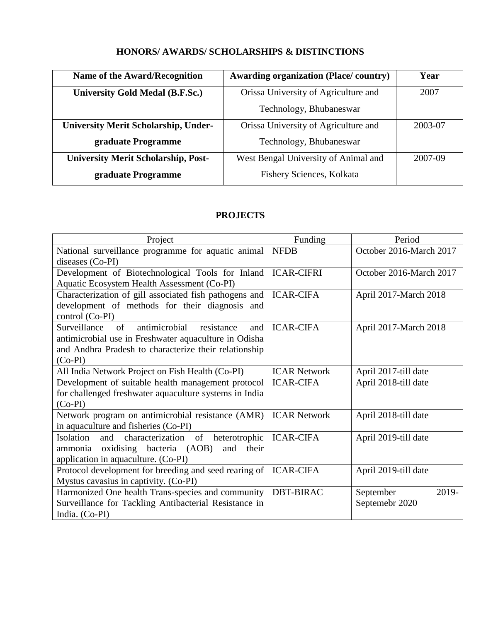# **HONORS/ AWARDS/ SCHOLARSHIPS & DISTINCTIONS**

| Name of the Award/Recognition               | <b>Awarding organization (Place/country)</b> | Year    |
|---------------------------------------------|----------------------------------------------|---------|
| <b>University Gold Medal (B.F.Sc.)</b>      | Orissa University of Agriculture and         | 2007    |
|                                             | Technology, Bhubaneswar                      |         |
| <b>University Merit Scholarship, Under-</b> | Orissa University of Agriculture and         | 2003-07 |
| graduate Programme                          | Technology, Bhubaneswar                      |         |
| <b>University Merit Scholarship, Post-</b>  | West Bengal University of Animal and         | 2007-09 |
| graduate Programme                          | Fishery Sciences, Kolkata                    |         |

## **PROJECTS**

| Project                                                          | Funding             | Period                  |
|------------------------------------------------------------------|---------------------|-------------------------|
| National surveillance programme for aquatic animal               | <b>NFDB</b>         | October 2016-March 2017 |
| diseases (Co-PI)                                                 |                     |                         |
| Development of Biotechnological Tools for Inland                 | <b>ICAR-CIFRI</b>   | October 2016-March 2017 |
| Aquatic Ecosystem Health Assessment (Co-PI)                      |                     |                         |
| Characterization of gill associated fish pathogens and           | <b>ICAR-CIFA</b>    | April 2017-March 2018   |
| development of methods for their diagnosis and                   |                     |                         |
| control (Co-PI)                                                  |                     |                         |
| antimicrobial<br>Surveillance<br>$\sigma$ f<br>resistance<br>and | <b>ICAR-CIFA</b>    | April 2017-March 2018   |
| antimicrobial use in Freshwater aquaculture in Odisha            |                     |                         |
| and Andhra Pradesh to characterize their relationship            |                     |                         |
| $(Co-PI)$                                                        |                     |                         |
| All India Network Project on Fish Health (Co-PI)                 | <b>ICAR Network</b> | April 2017-till date    |
| Development of suitable health management protocol               | <b>ICAR-CIFA</b>    | April 2018-till date    |
| for challenged freshwater aquaculture systems in India           |                     |                         |
| $(Co-PI)$                                                        |                     |                         |
| Network program on antimicrobial resistance (AMR)                | <b>ICAR Network</b> | April 2018-till date    |
| in aquaculture and fisheries (Co-PI)                             |                     |                         |
| characterization of<br>heterotrophic<br>Isolation and            | <b>ICAR-CIFA</b>    | April 2019-till date    |
| oxidising bacteria (AOB)<br>and<br>their<br>ammonia              |                     |                         |
| application in aquaculture. (Co-PI)                              |                     |                         |
| Protocol development for breeding and seed rearing of            | <b>ICAR-CIFA</b>    | April 2019-till date    |
| Mystus cavasius in captivity. (Co-PI)                            |                     |                         |
| Harmonized One health Trans-species and community                | <b>DBT-BIRAC</b>    | 2019-<br>September      |
| Surveillance for Tackling Antibacterial Resistance in            |                     | Septemebr 2020          |
| India. (Co-PI)                                                   |                     |                         |